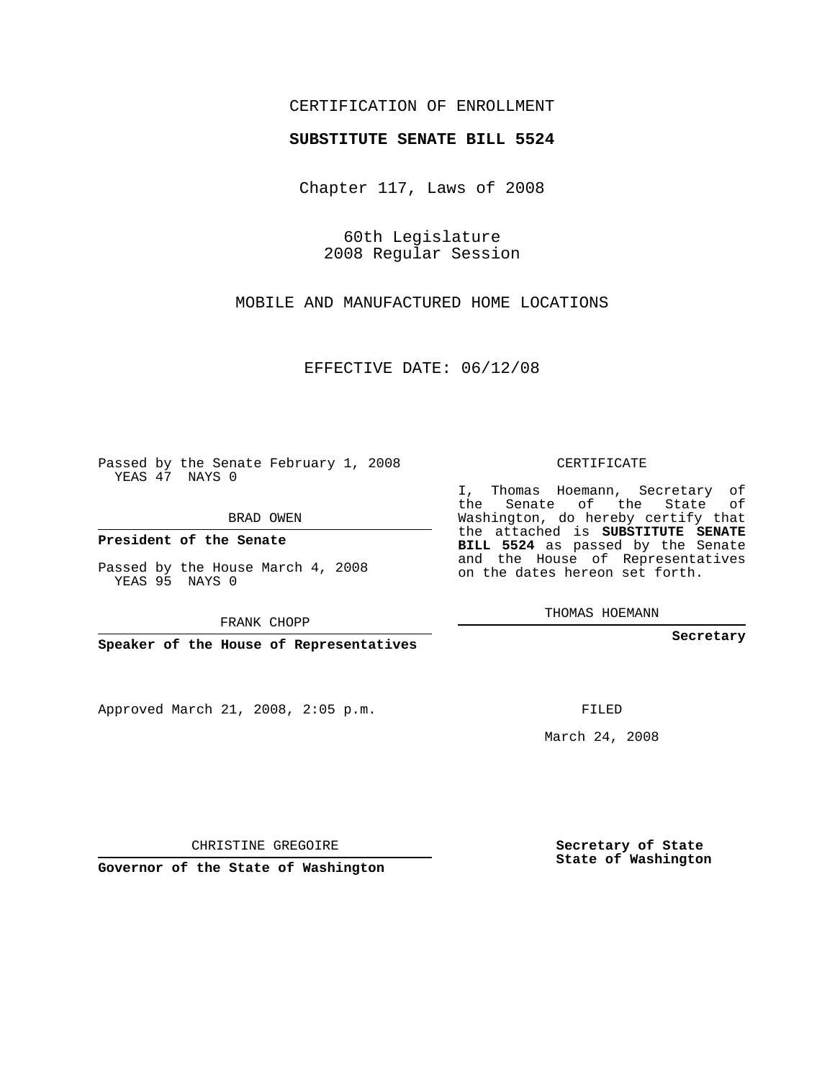## CERTIFICATION OF ENROLLMENT

## **SUBSTITUTE SENATE BILL 5524**

Chapter 117, Laws of 2008

60th Legislature 2008 Regular Session

MOBILE AND MANUFACTURED HOME LOCATIONS

EFFECTIVE DATE: 06/12/08

Passed by the Senate February 1, 2008 YEAS 47 NAYS 0

BRAD OWEN

**President of the Senate**

Passed by the House March 4, 2008 YEAS 95 NAYS 0

FRANK CHOPP

**Speaker of the House of Representatives**

Approved March 21, 2008, 2:05 p.m.

CERTIFICATE

I, Thomas Hoemann, Secretary of the Senate of the State of Washington, do hereby certify that the attached is **SUBSTITUTE SENATE BILL 5524** as passed by the Senate and the House of Representatives on the dates hereon set forth.

THOMAS HOEMANN

**Secretary**

FILED

March 24, 2008

**Secretary of State State of Washington**

CHRISTINE GREGOIRE

**Governor of the State of Washington**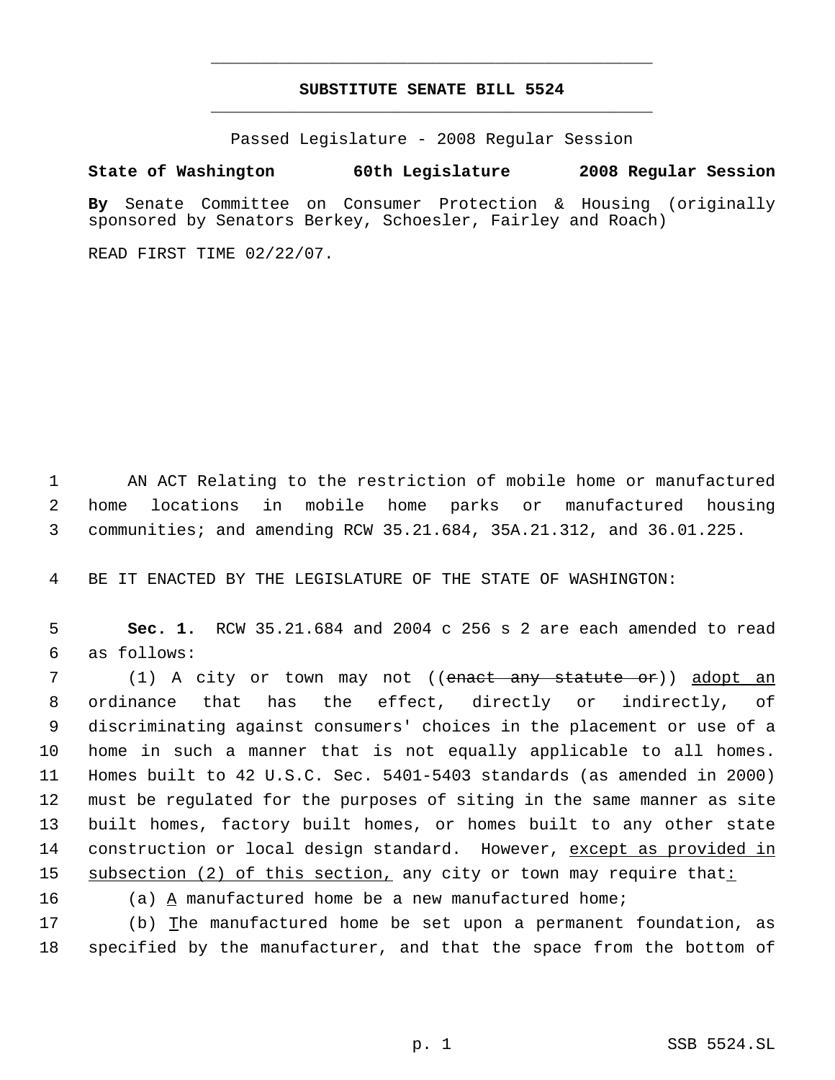## **SUBSTITUTE SENATE BILL 5524** \_\_\_\_\_\_\_\_\_\_\_\_\_\_\_\_\_\_\_\_\_\_\_\_\_\_\_\_\_\_\_\_\_\_\_\_\_\_\_\_\_\_\_\_\_

\_\_\_\_\_\_\_\_\_\_\_\_\_\_\_\_\_\_\_\_\_\_\_\_\_\_\_\_\_\_\_\_\_\_\_\_\_\_\_\_\_\_\_\_\_

Passed Legislature - 2008 Regular Session

## **State of Washington 60th Legislature 2008 Regular Session**

**By** Senate Committee on Consumer Protection & Housing (originally sponsored by Senators Berkey, Schoesler, Fairley and Roach)

READ FIRST TIME 02/22/07.

 1 AN ACT Relating to the restriction of mobile home or manufactured 2 home locations in mobile home parks or manufactured housing 3 communities; and amending RCW 35.21.684, 35A.21.312, and 36.01.225.

4 BE IT ENACTED BY THE LEGISLATURE OF THE STATE OF WASHINGTON:

 5 **Sec. 1.** RCW 35.21.684 and 2004 c 256 s 2 are each amended to read 6 as follows:

7 (1) A city or town may not ((<del>enact any statute or</del>)) <u>adopt an</u> ordinance that has the effect, directly or indirectly, of discriminating against consumers' choices in the placement or use of a home in such a manner that is not equally applicable to all homes. Homes built to 42 U.S.C. Sec. 5401-5403 standards (as amended in 2000) must be regulated for the purposes of siting in the same manner as site built homes, factory built homes, or homes built to any other state construction or local design standard. However, except as provided in 15 subsection (2) of this section, any city or town may require that:

16 (a) A manufactured home be a new manufactured home;

17 (b) The manufactured home be set upon a permanent foundation, as 18 specified by the manufacturer, and that the space from the bottom of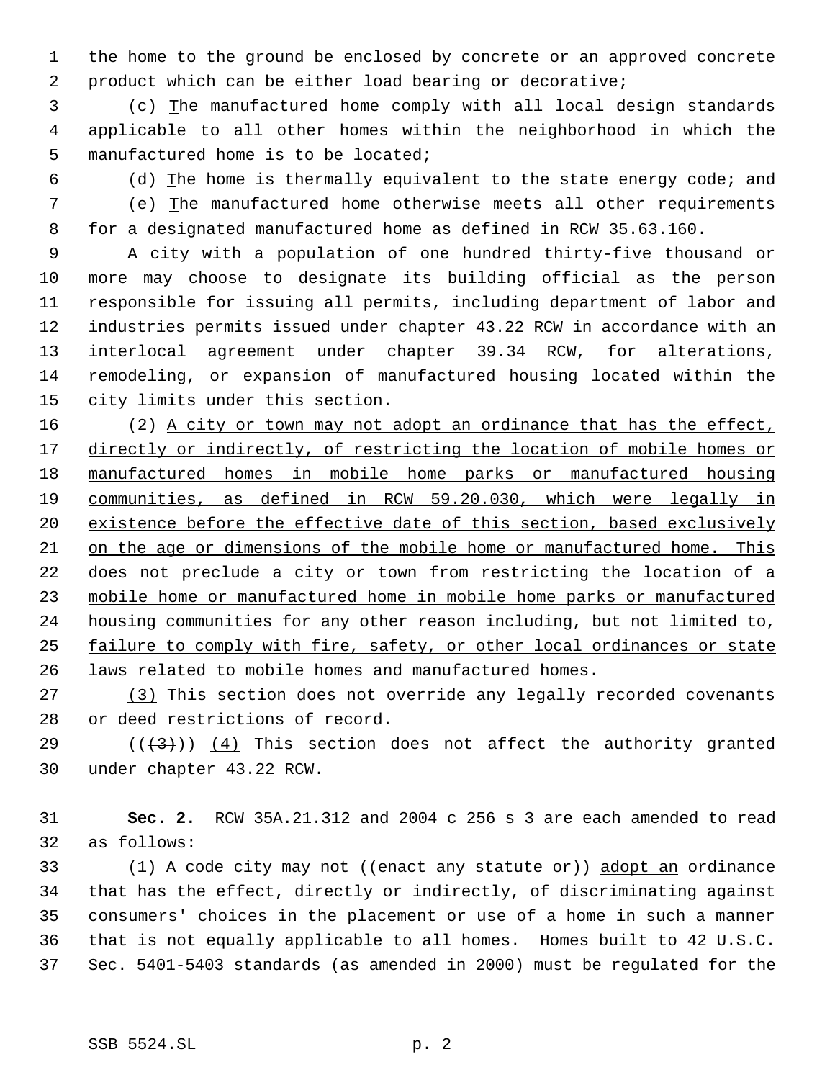the home to the ground be enclosed by concrete or an approved concrete product which can be either load bearing or decorative;

 (c) The manufactured home comply with all local design standards applicable to all other homes within the neighborhood in which the manufactured home is to be located;

 (d) The home is thermally equivalent to the state energy code; and (e) The manufactured home otherwise meets all other requirements for a designated manufactured home as defined in RCW 35.63.160.

 A city with a population of one hundred thirty-five thousand or more may choose to designate its building official as the person responsible for issuing all permits, including department of labor and industries permits issued under chapter 43.22 RCW in accordance with an interlocal agreement under chapter 39.34 RCW, for alterations, remodeling, or expansion of manufactured housing located within the city limits under this section.

16 (2) A city or town may not adopt an ordinance that has the effect, 17 directly or indirectly, of restricting the location of mobile homes or manufactured homes in mobile home parks or manufactured housing communities, as defined in RCW 59.20.030, which were legally in 20 existence before the effective date of this section, based exclusively on the age or dimensions of the mobile home or manufactured home. This does not preclude a city or town from restricting the location of a mobile home or manufactured home in mobile home parks or manufactured housing communities for any other reason including, but not limited to, failure to comply with fire, safety, or other local ordinances or state laws related to mobile homes and manufactured homes.

 (3) This section does not override any legally recorded covenants or deed restrictions of record.

29  $((+3))$  (4) This section does not affect the authority granted under chapter 43.22 RCW.

 **Sec. 2.** RCW 35A.21.312 and 2004 c 256 s 3 are each amended to read as follows:

33 (1) A code city may not ((enact any statute or)) adopt an ordinance that has the effect, directly or indirectly, of discriminating against consumers' choices in the placement or use of a home in such a manner that is not equally applicable to all homes. Homes built to 42 U.S.C. Sec. 5401-5403 standards (as amended in 2000) must be regulated for the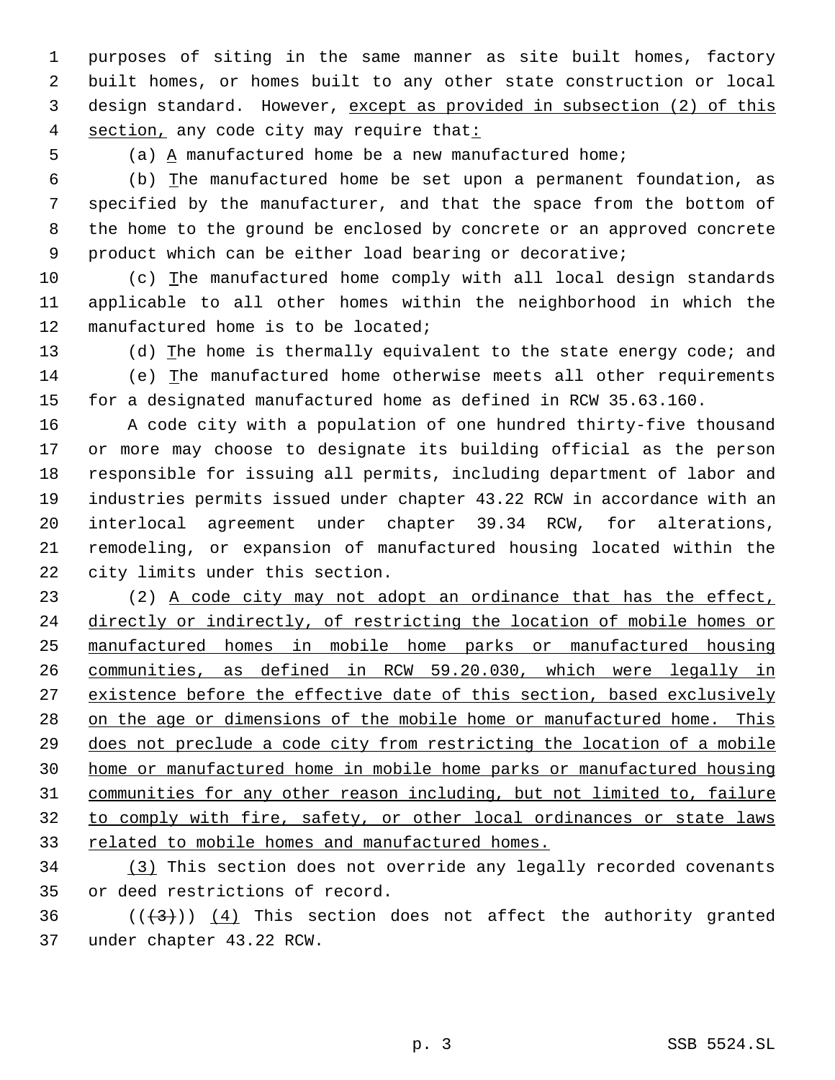purposes of siting in the same manner as site built homes, factory built homes, or homes built to any other state construction or local design standard. However, except as provided in subsection (2) of this 4 section, any code city may require that:

(a) A manufactured home be a new manufactured home;

 (b) The manufactured home be set upon a permanent foundation, as specified by the manufacturer, and that the space from the bottom of the home to the ground be enclosed by concrete or an approved concrete product which can be either load bearing or decorative;

 (c) The manufactured home comply with all local design standards applicable to all other homes within the neighborhood in which the manufactured home is to be located;

13 (d) The home is thermally equivalent to the state energy code; and (e) The manufactured home otherwise meets all other requirements for a designated manufactured home as defined in RCW 35.63.160.

 A code city with a population of one hundred thirty-five thousand or more may choose to designate its building official as the person responsible for issuing all permits, including department of labor and industries permits issued under chapter 43.22 RCW in accordance with an interlocal agreement under chapter 39.34 RCW, for alterations, remodeling, or expansion of manufactured housing located within the city limits under this section.

 (2) A code city may not adopt an ordinance that has the effect, directly or indirectly, of restricting the location of mobile homes or manufactured homes in mobile home parks or manufactured housing communities, as defined in RCW 59.20.030, which were legally in 27 existence before the effective date of this section, based exclusively 28 on the age or dimensions of the mobile home or manufactured home. This does not preclude a code city from restricting the location of a mobile home or manufactured home in mobile home parks or manufactured housing communities for any other reason including, but not limited to, failure to comply with fire, safety, or other local ordinances or state laws related to mobile homes and manufactured homes.

 (3) This section does not override any legally recorded covenants or deed restrictions of record.

36  $((+3))$  (4) This section does not affect the authority granted under chapter 43.22 RCW.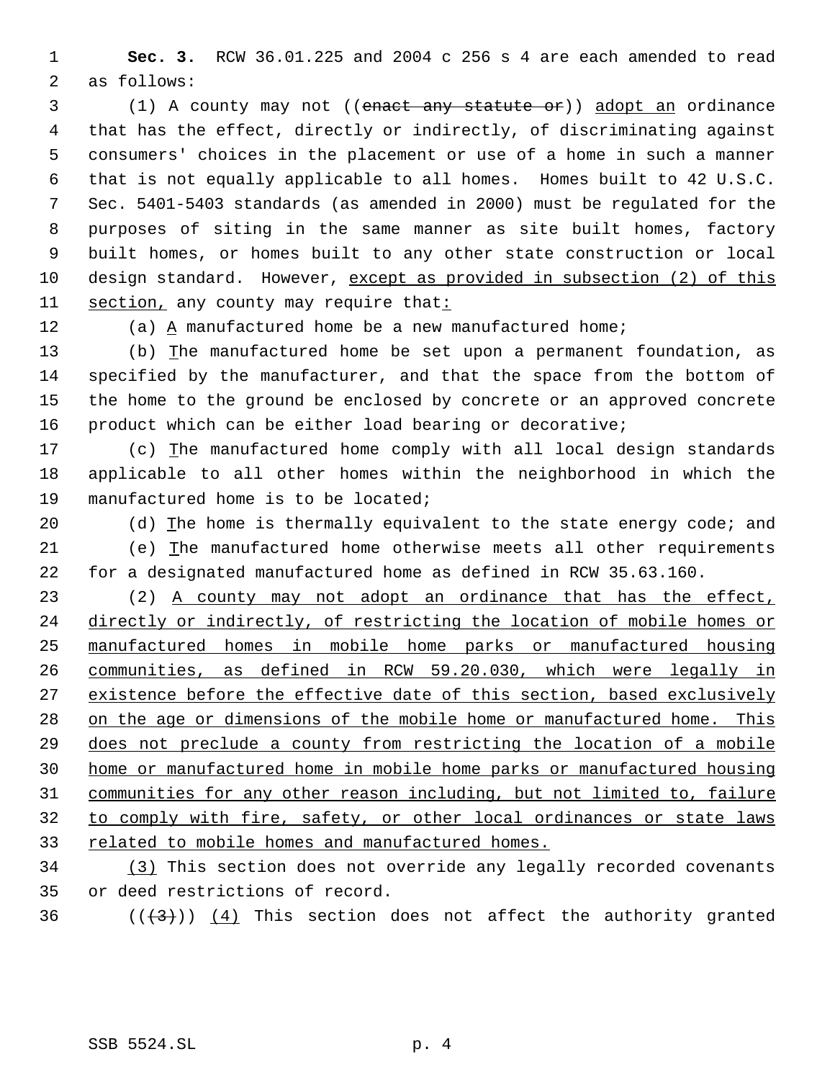**Sec. 3.** RCW 36.01.225 and 2004 c 256 s 4 are each amended to read as follows:

 (1) A county may not ((enact any statute or)) adopt an ordinance that has the effect, directly or indirectly, of discriminating against consumers' choices in the placement or use of a home in such a manner that is not equally applicable to all homes. Homes built to 42 U.S.C. Sec. 5401-5403 standards (as amended in 2000) must be regulated for the purposes of siting in the same manner as site built homes, factory built homes, or homes built to any other state construction or local design standard. However, except as provided in subsection (2) of this 11 section, any county may require that:

(a) A manufactured home be a new manufactured home;

 (b) The manufactured home be set upon a permanent foundation, as specified by the manufacturer, and that the space from the bottom of the home to the ground be enclosed by concrete or an approved concrete product which can be either load bearing or decorative;

 (c) The manufactured home comply with all local design standards applicable to all other homes within the neighborhood in which the manufactured home is to be located;

20 (d) The home is thermally equivalent to the state energy code; and (e) The manufactured home otherwise meets all other requirements for a designated manufactured home as defined in RCW 35.63.160.

 (2) A county may not adopt an ordinance that has the effect, directly or indirectly, of restricting the location of mobile homes or manufactured homes in mobile home parks or manufactured housing communities, as defined in RCW 59.20.030, which were legally in 27 existence before the effective date of this section, based exclusively 28 on the age or dimensions of the mobile home or manufactured home. This does not preclude a county from restricting the location of a mobile home or manufactured home in mobile home parks or manufactured housing communities for any other reason including, but not limited to, failure to comply with fire, safety, or other local ordinances or state laws related to mobile homes and manufactured homes.

 (3) This section does not override any legally recorded covenants or deed restrictions of record.

36  $((+3))$  (4) This section does not affect the authority granted